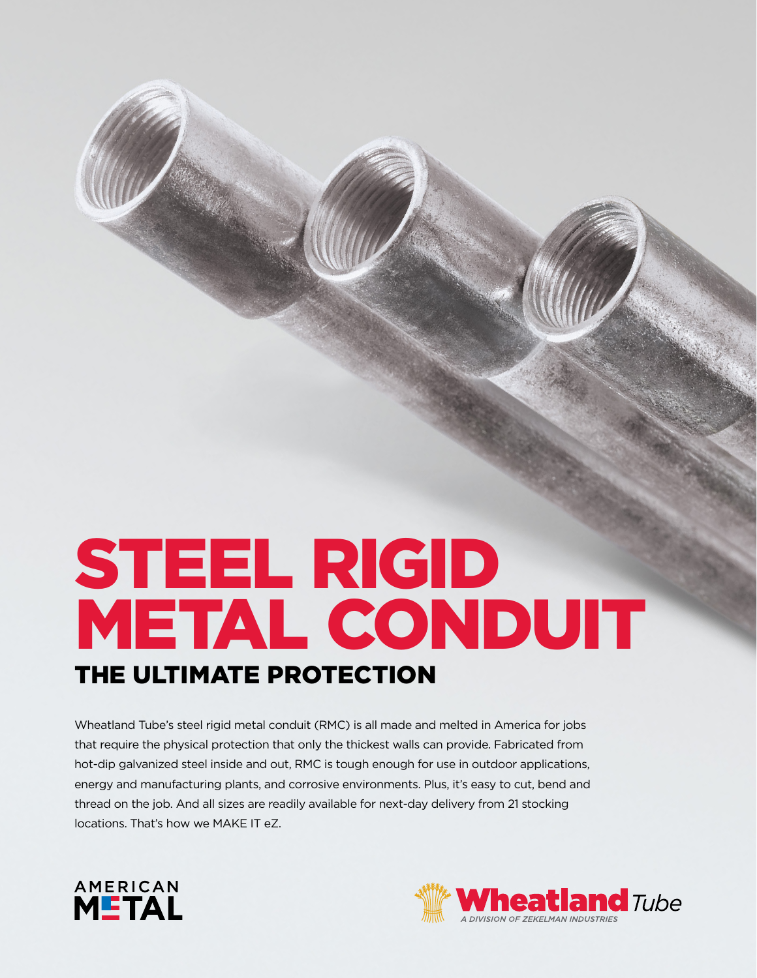# STEEL RIGID METAL CONDUIT THE ULTIMATE PROTECTION

Wheatland Tube's steel rigid metal conduit (RMC) is all made and melted in America for jobs that require the physical protection that only the thickest walls can provide. Fabricated from hot-dip galvanized steel inside and out, RMC is tough enough for use in outdoor applications, energy and manufacturing plants, and corrosive environments. Plus, it's easy to cut, bend and thread on the job. And all sizes are readily available for next-day delivery from 21 stocking locations. That's how we MAKE IT eZ.